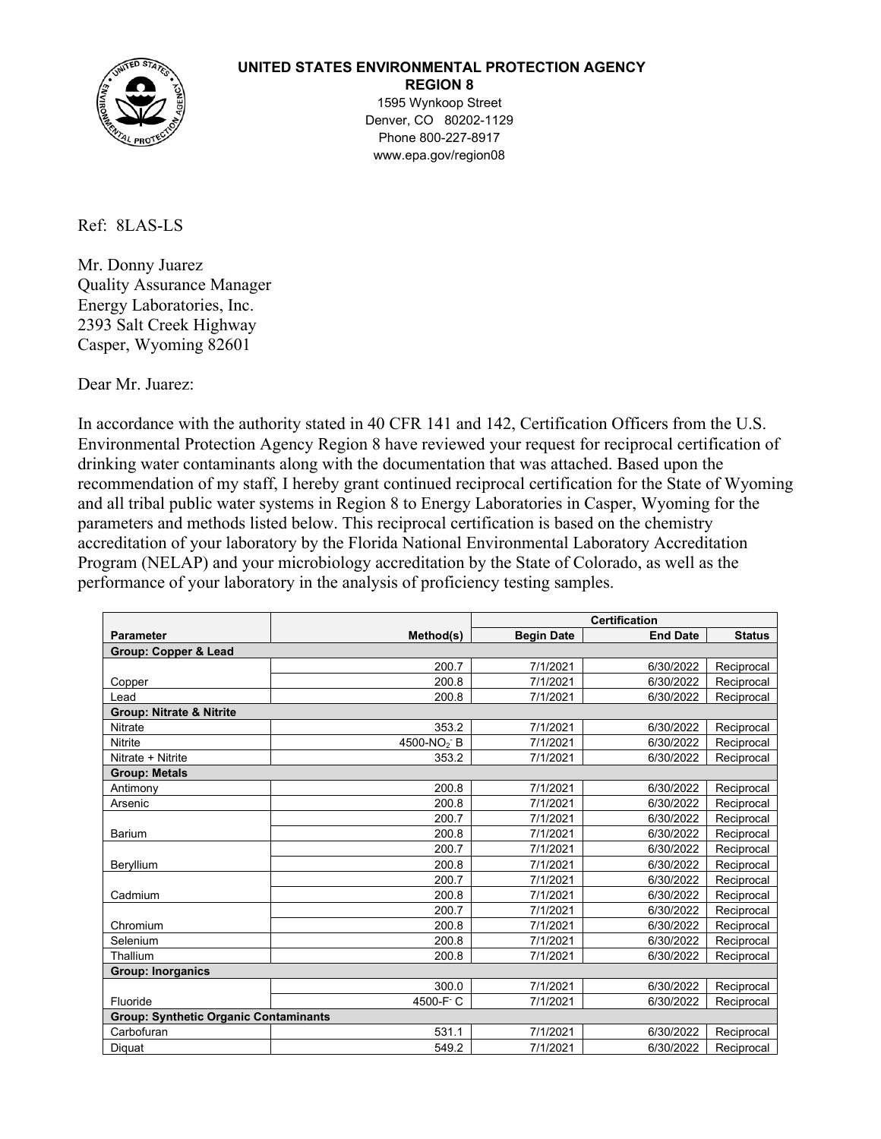

## **UNITED STATES ENVIRONMENTAL PROTECTION AGENCY**

**REGION 8**

1595 Wynkoop Street Denver, CO 80202-1129 Phone 800-227-8917 www.epa.gov/region08

Ref: 8LAS-LS

Mr. Donny Juarez Quality Assurance Manager Energy Laboratories, Inc. 2393 Salt Creek Highway Casper, Wyoming 82601

Dear Mr. Juarez:

In accordance with the authority stated in 40 CFR 141 and 142, Certification Officers from the U.S. Environmental Protection Agency Region 8 have reviewed your request for reciprocal certification of drinking water contaminants along with the documentation that was attached. Based upon the recommendation of my staff, I hereby grant continued reciprocal certification for the State of Wyoming and all tribal public water systems in Region 8 to Energy Laboratories in Casper, Wyoming for the parameters and methods listed below. This reciprocal certification is based on the chemistry accreditation of your laboratory by the Florida National Environmental Laboratory Accreditation Program (NELAP) and your microbiology accreditation by the State of Colorado, as well as the performance of your laboratory in the analysis of proficiency testing samples.

|                                              |                        | <b>Certification</b> |                 |               |  |  |  |
|----------------------------------------------|------------------------|----------------------|-----------------|---------------|--|--|--|
| <b>Parameter</b>                             | Method(s)              | <b>Begin Date</b>    | <b>End Date</b> | <b>Status</b> |  |  |  |
| <b>Group: Copper &amp; Lead</b>              |                        |                      |                 |               |  |  |  |
|                                              | 200.7                  | 7/1/2021             | 6/30/2022       | Reciprocal    |  |  |  |
| Copper                                       | 200.8                  | 7/1/2021             | 6/30/2022       | Reciprocal    |  |  |  |
| Lead                                         | 200.8                  | 7/1/2021             | 6/30/2022       | Reciprocal    |  |  |  |
| <b>Group: Nitrate &amp; Nitrite</b>          |                        |                      |                 |               |  |  |  |
| <b>Nitrate</b>                               | 353.2                  | 7/1/2021             | 6/30/2022       | Reciprocal    |  |  |  |
| <b>Nitrite</b>                               | 4500-NO <sub>2</sub> B | 7/1/2021             | 6/30/2022       | Reciprocal    |  |  |  |
| Nitrate + Nitrite                            | 353.2                  | 7/1/2021             | 6/30/2022       | Reciprocal    |  |  |  |
| <b>Group: Metals</b>                         |                        |                      |                 |               |  |  |  |
| Antimony                                     | 200.8                  | 7/1/2021             | 6/30/2022       | Reciprocal    |  |  |  |
| Arsenic                                      | 200.8                  | 7/1/2021             | 6/30/2022       | Reciprocal    |  |  |  |
|                                              | 200.7                  | 7/1/2021             | 6/30/2022       | Reciprocal    |  |  |  |
| <b>Barium</b>                                | 200.8                  | 7/1/2021             | 6/30/2022       | Reciprocal    |  |  |  |
|                                              | 200.7                  | 7/1/2021             | 6/30/2022       | Reciprocal    |  |  |  |
| Beryllium                                    | 200.8                  | 7/1/2021             | 6/30/2022       | Reciprocal    |  |  |  |
|                                              | 200.7                  | 7/1/2021             | 6/30/2022       | Reciprocal    |  |  |  |
| Cadmium                                      | 200.8                  | 7/1/2021             | 6/30/2022       | Reciprocal    |  |  |  |
|                                              | 200.7                  | 7/1/2021             | 6/30/2022       | Reciprocal    |  |  |  |
| Chromium                                     | 200.8                  | 7/1/2021             | 6/30/2022       | Reciprocal    |  |  |  |
| Selenium                                     | 200.8                  | 7/1/2021             | 6/30/2022       | Reciprocal    |  |  |  |
| Thallium                                     | 200.8                  | 7/1/2021             | 6/30/2022       | Reciprocal    |  |  |  |
| <b>Group: Inorganics</b>                     |                        |                      |                 |               |  |  |  |
|                                              | 300.0                  | 7/1/2021             | 6/30/2022       | Reciprocal    |  |  |  |
| Fluoride                                     | 4500-F C               | 7/1/2021             | 6/30/2022       | Reciprocal    |  |  |  |
| <b>Group: Synthetic Organic Contaminants</b> |                        |                      |                 |               |  |  |  |
| Carbofuran                                   | 531.1                  | 7/1/2021             | 6/30/2022       | Reciprocal    |  |  |  |
| Diquat                                       | 549.2                  | 7/1/2021             | 6/30/2022       | Reciprocal    |  |  |  |